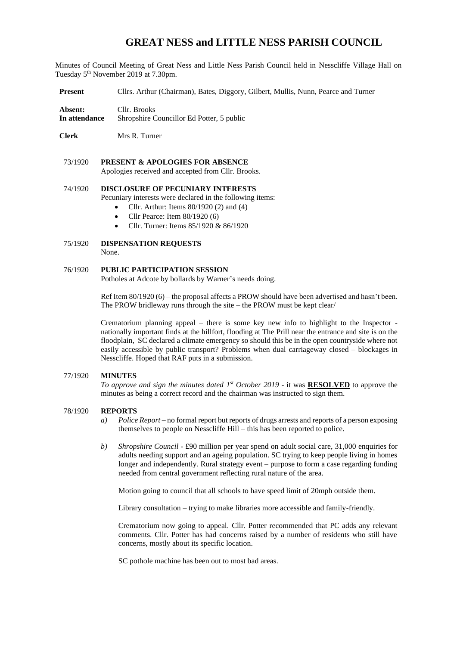# **GREAT NESS and LITTLE NESS PARISH COUNCIL**

Minutes of Council Meeting of Great Ness and Little Ness Parish Council held in Nesscliffe Village Hall on Tuesday 5<sup>th</sup> November 2019 at 7.30pm.

**Present** Cllrs. Arthur (Chairman), Bates, Diggory, Gilbert, Mullis, Nunn, Pearce and Turner

**Absent:** Cllr. Brooks **In attendance** Shropshire Councillor Ed Potter, 5 public

**Clerk** Mrs R. Turner

73/1920 **PRESENT & APOLOGIES FOR ABSENCE**  Apologies received and accepted from Cllr. Brooks.

## 74/1920 **DISCLOSURE OF PECUNIARY INTERESTS**

- Pecuniary interests were declared in the following items:
	- Cllr. Arthur: Items  $80/1920$  (2) and (4)
	- Cllr Pearce: Item  $80/1920(6)$
	- Cllr. Turner: Items 85/1920 & 86/1920

#### 75/1920 **DISPENSATION REQUESTS** None.

#### 76/1920 **PUBLIC PARTICIPATION SESSION**

Potholes at Adcote by bollards by Warner's needs doing.

Ref Item 80/1920 (6) – the proposal affects a PROW should have been advertised and hasn't been. The PROW bridleway runs through the site – the PROW must be kept clear/

Crematorium planning appeal – there is some key new info to highlight to the Inspector nationally important finds at the hillfort, flooding at The Prill near the entrance and site is on the floodplain, SC declared a climate emergency so should this be in the open countryside where not easily accessible by public transport? Problems when dual carriageway closed – blockages in Nesscliffe. Hoped that RAF puts in a submission.

#### 77/1920 **MINUTES**

*To approve and sign the minutes dated 1 st October 2019* - it was **RESOLVED** to approve the minutes as being a correct record and the chairman was instructed to sign them.

#### 78/1920 **REPORTS**

- *a) Police Report*  no formal report but reports of drugs arrests and reports of a person exposing themselves to people on Nesscliffe Hill – this has been reported to police.
- *b) Shropshire Council*  £90 million per year spend on adult social care, 31,000 enquiries for adults needing support and an ageing population. SC trying to keep people living in homes longer and independently. Rural strategy event – purpose to form a case regarding funding needed from central government reflecting rural nature of the area.

Motion going to council that all schools to have speed limit of 20mph outside them.

Library consultation – trying to make libraries more accessible and family-friendly.

Crematorium now going to appeal. Cllr. Potter recommended that PC adds any relevant comments. Cllr. Potter has had concerns raised by a number of residents who still have concerns, mostly about its specific location.

SC pothole machine has been out to most bad areas.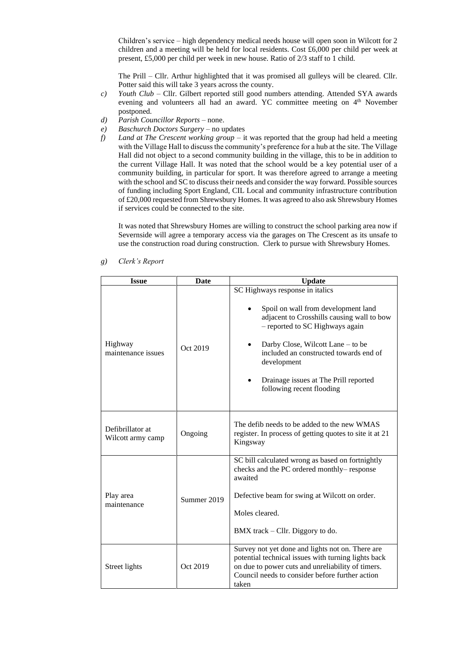Children's service – high dependency medical needs house will open soon in Wilcott for 2 children and a meeting will be held for local residents. Cost  $£6,000$  per child per week at present, £5,000 per child per week in new house. Ratio of 2/3 staff to 1 child.

The Prill – Cllr. Arthur highlighted that it was promised all gulleys will be cleared. Cllr. Potter said this will take 3 years across the county.

- *c) Youth Club* Cllr. Gilbert reported still good numbers attending. Attended SYA awards evening and volunteers all had an award. YC committee meeting on 4<sup>th</sup> November postponed.
- *d) Parish Councillor Reports* none.
- *e) Baschurch Doctors Surgery* no updates
- *f) Land at The Crescent working group*  it was reported that the group had held a meeting with the Village Hall to discuss the community's preference for a hub at the site. The Village Hall did not object to a second community building in the village, this to be in addition to the current Village Hall. It was noted that the school would be a key potential user of a community building, in particular for sport. It was therefore agreed to arrange a meeting with the school and SC to discuss their needs and consider the way forward. Possible sources of funding including Sport England, CIL Local and community infrastructure contribution of £20,000 requested from Shrewsbury Homes. It was agreed to also ask Shrewsbury Homes if services could be connected to the site.

It was noted that Shrewsbury Homes are willing to construct the school parking area now if Severnside will agree a temporary access via the garages on The Crescent as its unsafe to use the construction road during construction. Clerk to pursue with Shrewsbury Homes.

| <b>Issue</b>                          | Date        | <b>Update</b>                                                                                                                                                                                                                                                                                                               |  |  |  |
|---------------------------------------|-------------|-----------------------------------------------------------------------------------------------------------------------------------------------------------------------------------------------------------------------------------------------------------------------------------------------------------------------------|--|--|--|
| Highway<br>maintenance issues         | Oct 2019    | SC Highways response in italics<br>Spoil on wall from development land<br>adjacent to Crosshills causing wall to bow<br>- reported to SC Highways again<br>Darby Close, Wilcott Lane – to be<br>included an constructed towards end of<br>development<br>Drainage issues at The Prill reported<br>following recent flooding |  |  |  |
| Defibrillator at<br>Wilcott army camp | Ongoing     | The defib needs to be added to the new WMAS<br>register. In process of getting quotes to site it at 21<br>Kingsway                                                                                                                                                                                                          |  |  |  |
| Play area<br>maintenance              | Summer 2019 | SC bill calculated wrong as based on fortnightly<br>checks and the PC ordered monthly-response<br>awaited<br>Defective beam for swing at Wilcott on order.<br>Moles cleared.<br>BMX track $-$ Cllr. Diggory to do.                                                                                                          |  |  |  |
| Street lights                         | Oct 2019    | Survey not yet done and lights not on. There are<br>potential technical issues with turning lights back<br>on due to power cuts and unreliability of timers.<br>Council needs to consider before further action<br>taken                                                                                                    |  |  |  |

*g) Clerk's Report*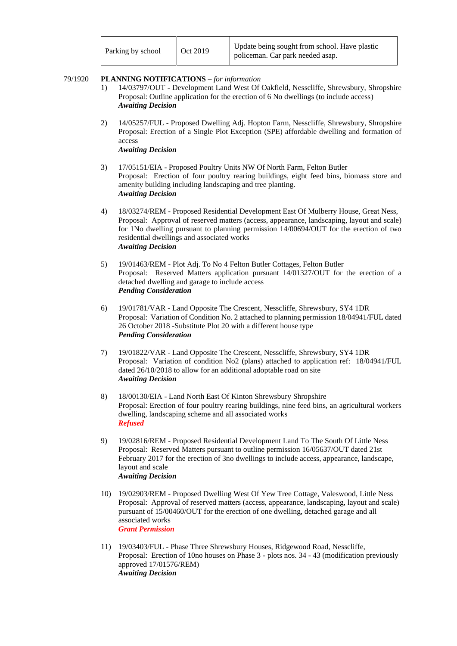| Parking by school | Oct 2019 | Update being sought from school. Have plastic<br>policeman. Car park needed asap. |
|-------------------|----------|-----------------------------------------------------------------------------------|
|-------------------|----------|-----------------------------------------------------------------------------------|

#### 79/1920 **PLANNING NOTIFICATIONS** – *for information*

- 1) 14/03797/OUT Development Land West Of Oakfield, Nesscliffe, Shrewsbury, Shropshire Proposal: Outline application for the erection of 6 No dwellings (to include access) *Awaiting Decision*
- 2) 14/05257/FUL Proposed Dwelling Adj. Hopton Farm, Nesscliffe, Shrewsbury, Shropshire Proposal: Erection of a Single Plot Exception (SPE) affordable dwelling and formation of access *Awaiting Decision*
- 3) 17/05151/EIA Proposed Poultry Units NW Of North Farm, Felton Butler Proposal: Erection of four poultry rearing buildings, eight feed bins, biomass store and amenity building including landscaping and tree planting. *Awaiting Decision*
- 4) 18/03274/REM Proposed Residential Development East Of Mulberry House, Great Ness, Proposal: Approval of reserved matters (access, appearance, landscaping, layout and scale) for 1No dwelling pursuant to planning permission 14/00694/OUT for the erection of two residential dwellings and associated works *Awaiting Decision*
- 5) 19/01463/REM Plot Adj. To No 4 Felton Butler Cottages, Felton Butler Proposal: Reserved Matters application pursuant 14/01327/OUT for the erection of a detached dwelling and garage to include access *Pending Consideration*
- 6) 19/01781/VAR Land Opposite The Crescent, Nesscliffe, Shrewsbury, SY4 1DR Proposal: Variation of Condition No. 2 attached to planning permission 18/04941/FUL dated 26 October 2018 -Substitute Plot 20 with a different house type *Pending Consideration*
- 7) 19/01822/VAR Land Opposite The Crescent, Nesscliffe, Shrewsbury, SY4 1DR Proposal: Variation of condition No2 (plans) attached to application ref: 18/04941/FUL dated 26/10/2018 to allow for an additional adoptable road on site *Awaiting Decision*
- 8) 18/00130/EIA Land North East Of Kinton Shrewsbury Shropshire Proposal: Erection of four poultry rearing buildings, nine feed bins, an agricultural workers dwelling, landscaping scheme and all associated works *Refused*
- 9) 19/02816/REM Proposed Residential Development Land To The South Of Little Ness Proposal: Reserved Matters pursuant to outline permission 16/05637/OUT dated 21st February 2017 for the erection of 3no dwellings to include access, appearance, landscape, layout and scale *Awaiting Decision*
- 10) 19/02903/REM Proposed Dwelling West Of Yew Tree Cottage, Valeswood, Little Ness Proposal: Approval of reserved matters (access, appearance, landscaping, layout and scale) pursuant of 15/00460/OUT for the erection of one dwelling, detached garage and all associated works *Grant Permission*
- 11) 19/03403/FUL Phase Three Shrewsbury Houses, Ridgewood Road, Nesscliffe, Proposal: Erection of 10no houses on Phase 3 - plots nos. 34 - 43 (modification previously approved 17/01576/REM) *Awaiting Decision*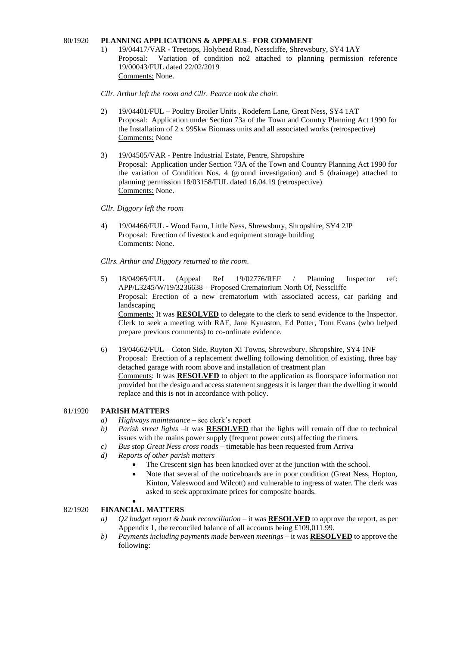#### 80/1920 **PLANNING APPLICATIONS & APPEALS**– **FOR COMMENT**

1) 19/04417/VAR - Treetops, Holyhead Road, Nesscliffe, Shrewsbury, SY4 1AY Proposal: Variation of condition no2 attached to planning permission reference 19/00043/FUL dated 22/02/2019 Comments: None.

*Cllr. Arthur left the room and Cllr. Pearce took the chair.*

- 2) 19/04401/FUL Poultry Broiler Units , Rodefern Lane, Great Ness, SY4 1AT Proposal: Application under Section 73a of the Town and Country Planning Act 1990 for the Installation of 2 x 995kw Biomass units and all associated works (retrospective) Comments: None
- 3) 19/04505/VAR Pentre Industrial Estate, Pentre, Shropshire Proposal: Application under Section 73A of the Town and Country Planning Act 1990 for the variation of Condition Nos. 4 (ground investigation) and 5 (drainage) attached to planning permission 18/03158/FUL dated 16.04.19 (retrospective) Comments: None.
- *Cllr. Diggory left the room*
- 4) 19/04466/FUL Wood Farm, Little Ness, Shrewsbury, Shropshire, SY4 2JP Proposal: Erection of livestock and equipment storage building Comments: None.

*Cllrs. Arthur and Diggory returned to the room.*

5) 18/04965/FUL (Appeal Ref 19/02776/REF / Planning Inspector ref: APP/L3245/W/19/3236638 – Proposed Crematorium North Of, Nesscliffe Proposal: Erection of a new crematorium with associated access, car parking and landscaping Comments: It was **RESOLVED** to delegate to the clerk to send evidence to the Inspector.

Clerk to seek a meeting with RAF, Jane Kynaston, Ed Potter, Tom Evans (who helped prepare previous comments) to co-ordinate evidence.

6) 19/04662/FUL – Coton Side, Ruyton Xi Towns, Shrewsbury, Shropshire, SY4 1NF Proposal: Erection of a replacement dwelling following demolition of existing, three bay detached garage with room above and installation of treatment plan Comments: It was **RESOLVED** to object to the application as floorspace information not provided but the design and access statement suggests it is larger than the dwelling it would replace and this is not in accordance with policy.

#### 81/1920 **PARISH MATTERS**

- *a) Highways maintenance* see clerk's report
- *b) Parish street lights* –it was **RESOLVED** that the lights will remain off due to technical issues with the mains power supply (frequent power cuts) affecting the timers.
- *c) Bus stop Great Ness cross roads* timetable has been requested from Arriva
- *d) Reports of other parish matters*
	- The Crescent sign has been knocked over at the junction with the school.
	- Note that several of the noticeboards are in poor condition (Great Ness, Hopton, Kinton, Valeswood and Wilcott) and vulnerable to ingress of water. The clerk was asked to seek approximate prices for composite boards.
	- •

#### 82/1920 **FINANCIAL MATTERS**

- *a) Q2 budget report & bank reconciliation* it was **RESOLVED** to approve the report, as per Appendix 1, the reconciled balance of all accounts being £109,011.99.
- *b) Payments including payments made between meetings* it was **RESOLVED** to approve the following: